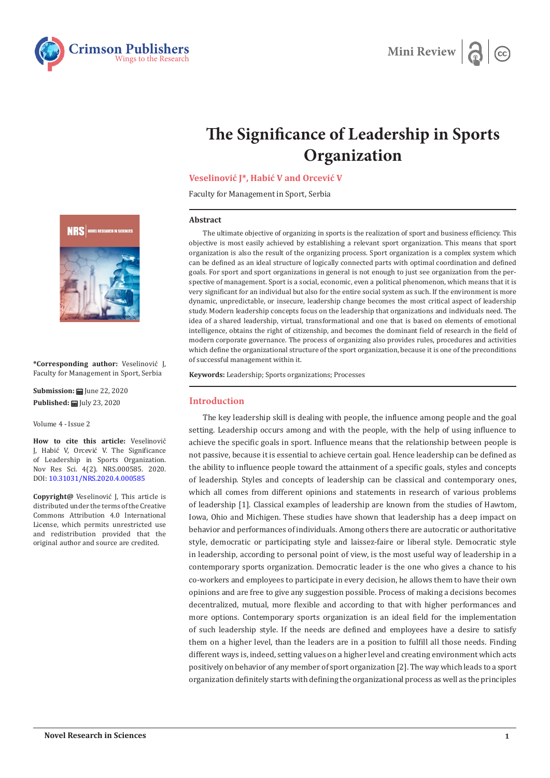



# **The Significance of Leadership in Sports Organization**

# **Veselinović J\*, Habić V and Orcević V**

Faculty for Management in Sport, Serbia

#### **Abstract**

The ultimate objective of organizing in sports is the realization of sport and business efficiency. This objective is most easily achieved by establishing a relevant sport organization. This means that sport organization is also the result of the organizing process. Sport organization is a complex system which can be defined as an ideal structure of logically connected parts with optimal coordination and defined goals. For sport and sport organizations in general is not enough to just see organization from the perspective of management. Sport is a social, economic, even a political phenomenon, which means that it is very significant for an individual but also for the entire social system as such. If the environment is more dynamic, unpredictable, or insecure, leadership change becomes the most critical aspect of leadership study. Modern leadership concepts focus on the leadership that organizations and individuals need. The idea of a shared leadership, virtual, transformational and one that is based on elements of emotional intelligence, obtains the right of citizenship, and becomes the dominant field of research in the field of modern corporate governance. The process of organizing also provides rules, procedures and activities which define the organizational structure of the sport organization, because it is one of the preconditions of successful management within it.

**Keywords:** Leadership; Sports organizations; Processes

# **Introduction**

The key leadership skill is dealing with people, the influence among people and the goal setting. Leadership occurs among and with the people, with the help of using influence to achieve the specific goals in sport. Influence means that the relationship between people is not passive, because it is essential to achieve certain goal. Hence leadership can be defined as the ability to influence people toward the attainment of a specific goals, styles and concepts of leadership. Styles and concepts of leadership can be classical and contemporary ones, which all comes from different opinions and statements in research of various problems of leadership [1]. Classical examples of leadership are known from the studies of Hawtom, Iowa, Ohio and Michigen. These studies have shown that leadership has a deep impact on behavior and performances of individuals. Among others there are autocratic or authoritative style, democratic or participating style and laissez-faire or liberal style. Democratic style in leadership, according to personal point of view, is the most useful way of leadership in a contemporary sports organization. Democratic leader is the one who gives a chance to his co-workers and employees to participate in every decision, he allows them to have their own opinions and are free to give any suggestion possible. Process of making a decisions becomes decentralized, mutual, more flexible and according to that with higher performances and more options. Contemporary sports organization is an ideal field for the implementation of such leadership style. If the needs are defined and employees have a desire to satisfy them on a higher level, than the leaders are in a position to fulfill all those needs. Finding different ways is, indeed, setting values on a higher level and creating environment which acts positively on behavior of any member of sport organization [2]. The way which leads to a sport organization definitely starts with defining the organizational process as well as the principles



**\*Corresponding author:** Veselinović J, Faculty for Management in Sport, Serbia

**Submission: H** June 22, 2020 **Published:** July 23, 2020

Volume 4 - Issue 2

**How to cite this article:** Veselinović J, Habić V, Orcević V. The Significance of Leadership in Sports Organization. Nov Res Sci. 4(2). NRS.000585. 2020. DOI: [10.31031/NRS.2020.4.000585](http://dx.doi.org/10.31031/NRS.2020.4.000585)

**Copyright@** Veselinović J, This article is distributed under the terms of the Creative Commons Attribution 4.0 International License, which permits unrestricted use and redistribution provided that the original author and source are credited.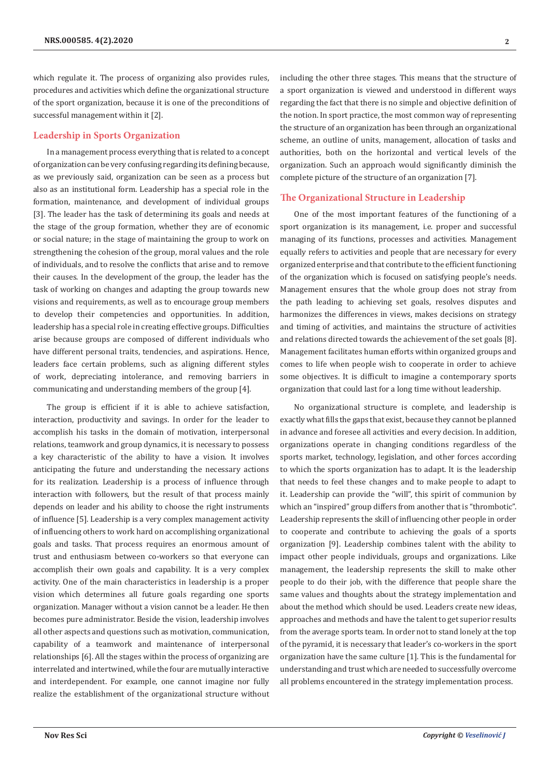which regulate it. The process of organizing also provides rules, procedures and activities which define the organizational structure of the sport organization, because it is one of the preconditions of successful management within it [2].

## **Leadership in Sports Organization**

In a management process everything that is related to a concept of organization can be very confusing regarding its defining because, as we previously said, organization can be seen as a process but also as an institutional form. Leadership has a special role in the formation, maintenance, and development of individual groups [3]. The leader has the task of determining its goals and needs at the stage of the group formation, whether they are of economic or social nature; in the stage of maintaining the group to work on strengthening the cohesion of the group, moral values and the role of individuals, and to resolve the conflicts that arise and to remove their causes. In the development of the group, the leader has the task of working on changes and adapting the group towards new visions and requirements, as well as to encourage group members to develop their competencies and opportunities. In addition, leadership has a special role in creating effective groups. Difficulties arise because groups are composed of different individuals who have different personal traits, tendencies, and aspirations. Hence, leaders face certain problems, such as aligning different styles of work, depreciating intolerance, and removing barriers in communicating and understanding members of the group [4].

The group is efficient if it is able to achieve satisfaction, interaction, productivity and savings. In order for the leader to accomplish his tasks in the domain of motivation, interpersonal relations, teamwork and group dynamics, it is necessary to possess a key characteristic of the ability to have a vision. It involves anticipating the future and understanding the necessary actions for its realization. Leadership is a process of influence through interaction with followers, but the result of that process mainly depends on leader and his ability to choose the right instruments of influence [5]. Leadership is a very complex management activity of influencing others to work hard on accomplishing organizational goals and tasks. That process requires an enormous amount of trust and enthusiasm between co-workers so that everyone can accomplish their own goals and capability. It is a very complex activity. One of the main characteristics in leadership is a proper vision which determines all future goals regarding one sports organization. Manager without a vision cannot be a leader. He then becomes pure administrator. Beside the vision, leadership involves all other aspects and questions such as motivation, communication, capability of a teamwork and maintenance of interpersonal relationships [6]. All the stages within the process of organizing are interrelated and intertwined, while the four are mutually interactive and interdependent. For example, one cannot imagine nor fully realize the establishment of the organizational structure without

including the other three stages. This means that the structure of a sport organization is viewed and understood in different ways regarding the fact that there is no simple and objective definition of the notion. In sport practice, the most common way of representing the structure of an organization has been through an organizational scheme, an outline of units, management, allocation of tasks and authorities, both on the horizontal and vertical levels of the organization. Such an approach would significantly diminish the complete picture of the structure of an organization [7].

## **The Organizational Structure in Leadership**

One of the most important features of the functioning of a sport organization is its management, i.e. proper and successful managing of its functions, processes and activities. Management equally refers to activities and people that are necessary for every organized enterprise and that contribute to the efficient functioning of the organization which is focused on satisfying people's needs. Management ensures that the whole group does not stray from the path leading to achieving set goals, resolves disputes and harmonizes the differences in views, makes decisions on strategy and timing of activities, and maintains the structure of activities and relations directed towards the achievement of the set goals [8]. Management facilitates human efforts within organized groups and comes to life when people wish to cooperate in order to achieve some objectives. It is difficult to imagine a contemporary sports organization that could last for a long time without leadership.

No organizational structure is complete, and leadership is exactly what fills the gaps that exist, because they cannot be planned in advance and foresee all activities and every decision. In addition, organizations operate in changing conditions regardless of the sports market, technology, legislation, and other forces according to which the sports organization has to adapt. It is the leadership that needs to feel these changes and to make people to adapt to it. Leadership can provide the "will", this spirit of communion by which an "inspired" group differs from another that is "thrombotic". Leadership represents the skill of influencing other people in order to cooperate and contribute to achieving the goals of a sports organization [9]. Leadership combines talent with the ability to impact other people individuals, groups and organizations. Like management, the leadership represents the skill to make other people to do their job, with the difference that people share the same values and thoughts about the strategy implementation and about the method which should be used. Leaders create new ideas, approaches and methods and have the talent to get superior results from the average sports team. In order not to stand lonely at the top of the pyramid, it is necessary that leader's co-workers in the sport organization have the same culture [1]. This is the fundamental for understanding and trust which are needed to successfully overcome all problems encountered in the strategy implementation process.